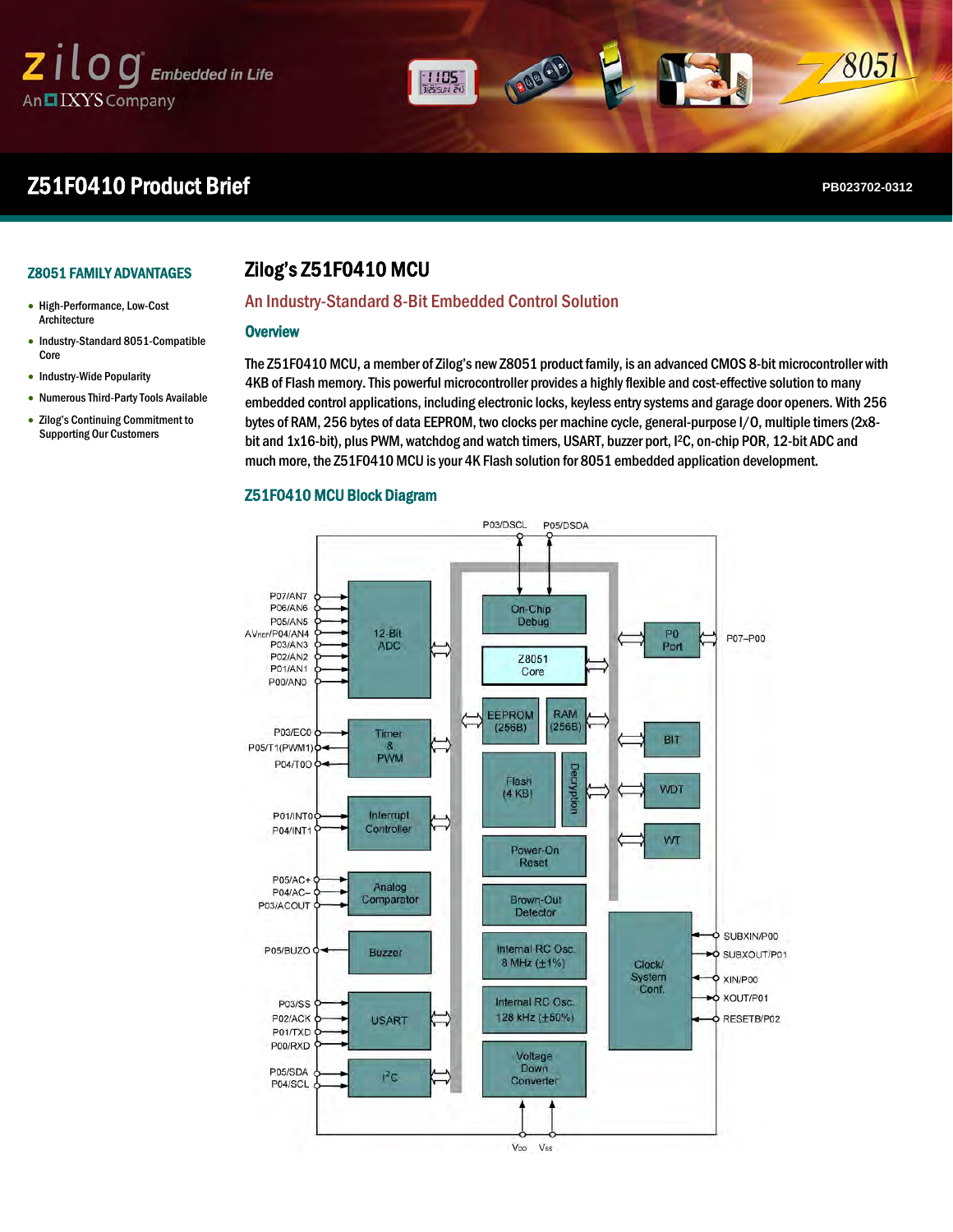# $\mathsf{z}$  il  $\log$  Embedded in Life An IXYS Company

# **Z51F0410 Product Brief PRODUCT BRIEF <b>PB023702-0312**

8051

Zilog's Z8051 Family of MCUS

# Z8051 FAMILY ADVANTAGES

### High-Performance, Low-Cost Architecture

- Industry-Standard 8051-Compatible Core
- Industry-Wide Popularity
- Numerous Third-Party Tools Available
- Zilog's Continuing Commitment to Supporting Our Customers

# Zilog's Z51F0410 MCU

# An Industry-Standard 8-Bit Embedded Control Solution

 $\frac{1105}{28500}$ 

# **Overview**

ı

I

The Z51F0410 MCU, a member of Zilog's new Z8051 product family, is an advanced CMOS 8-bit microcontroller with 4KB of Flash memory. This powerful microcontroller provides a highly flexible and cost-effective solution to many embedded control applications, including electronic locks, keyless entry systems and garage door openers. With 256 bytes of RAM, 256 bytes of data EEPROM, two clocks per machine cycle, general-purpose I/O, multiple timers (2x8 bit and 1x16-bit), plus PWM, watchdog and watch timers, USART, buzzer port, I<sup>2</sup>C, on-chip POR, 12-bit ADC and much more, the Z51F0410 MCU is your 4K Flash solution for 8051 embedded application development.

# Z51F0410 MCU Block Diagram

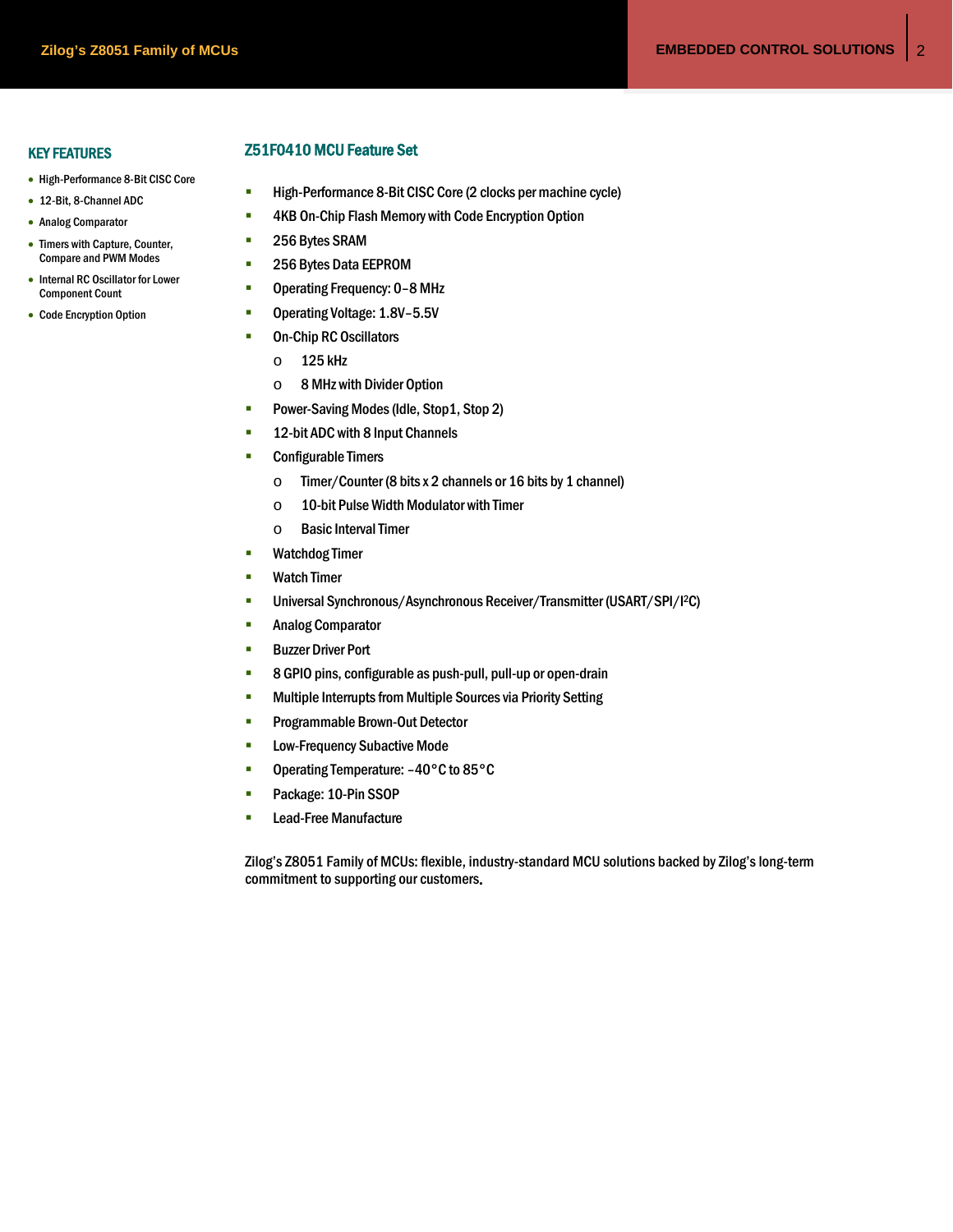# KEY FEATURES

- High-Performance 8-Bit CISC Core
- 12-Bit, 8-Channel ADC
- Analog Comparator
- Timers with Capture, Counter, Compare and PWM Modes
- Internal RC Oscillator for Lower Component Count
- Code Encryption Option

# Z51F0410 MCU Feature Set

- **High-Performance 8-Bit CISC Core (2 clocks per machine cycle)**
- **4KB On-Chip Flash Memory with Code Encryption Option**
- 256 Bytes SRAM
- **256 Bytes Data EEPROM**
- Operating Frequency: 0-8 MHz
- Operating Voltage: 1.8V-5.5V
- **•** On-Chip RC Oscillators
	- o 125 kHz
	- o 8 MHz with Divider Option
- **Power-Saving Modes (Idle, Stop 1, Stop 2)**
- **12-bit ADC with 8 Input Channels**
- **Configurable Timers** 
	- o Timer/Counter (8 bits x 2 channels or 16 bits by 1 channel)
	- o 10-bit Pulse Width Modulator with Timer
	- o Basic Interval Timer
- **•** Watchdog Timer
- **Watch Timer**
- Universal Synchronous/Asynchronous Receiver/Transmitter (USART/SPI/I2C)
- **Analog Comparator**
- **Buzzer Driver Port**
- 8 GPIO pins, configurable as push-pull, pull-up or open-drain
- **EXECUTE:** Multiple Interrupts from Multiple Sources via Priority Setting
- **Programmable Brown-Out Detector**
- **EXECUTE:** Low-Frequency Subactive Mode
- Operating Temperature: -40°C to 85°C
- **Package: 10-Pin SSOP**
- **Lead-Free Manufacture**

Zilog's Z8051 Family of MCUs: flexible, industry-standard MCU solutions backed by Zilog's long-term commitment to supporting our customers.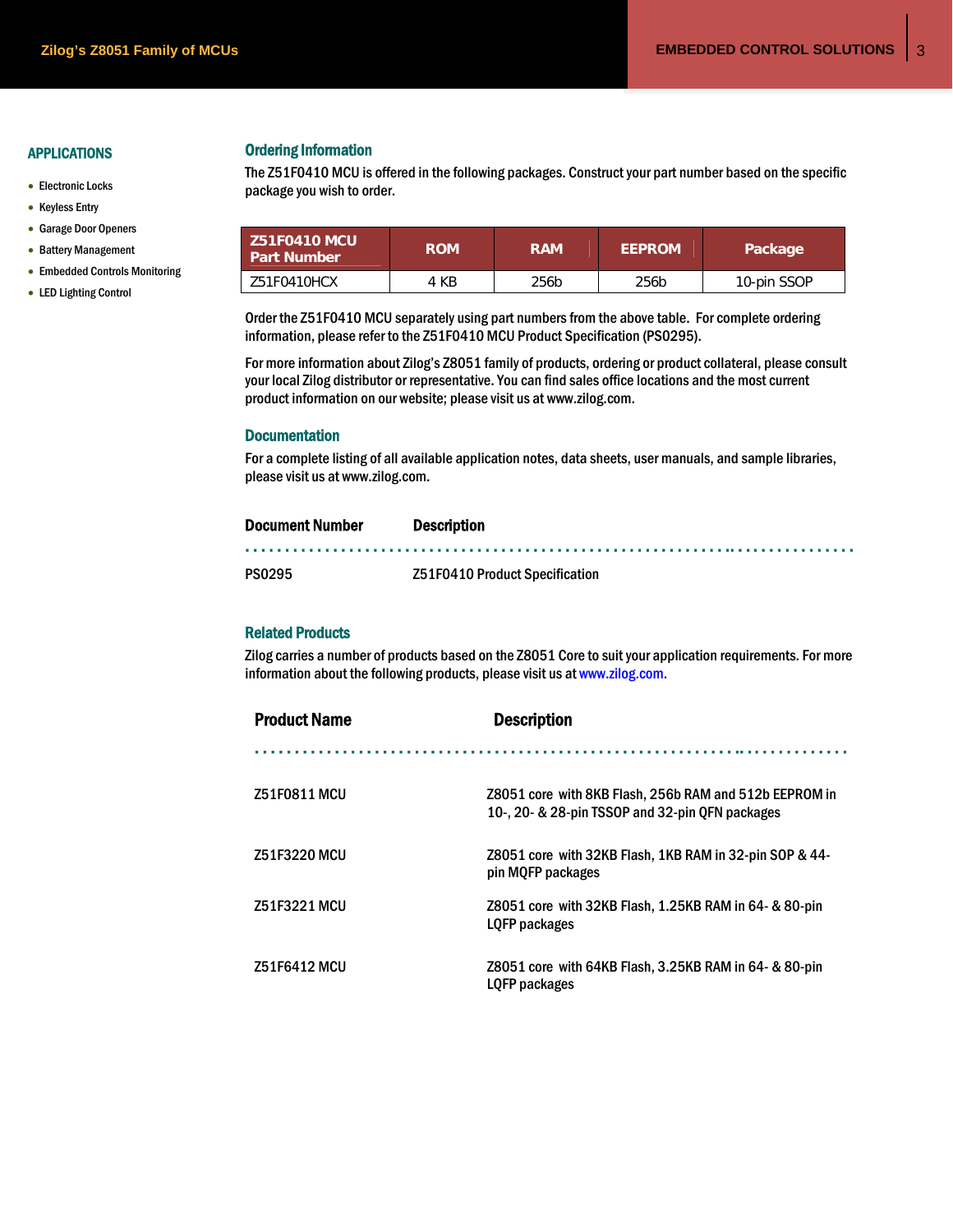# APPLICATIONS

- Electronic Locks
- Keyless Entry
- Garage Door Openers
- Battery Management
- Embedded Controls Monitoring
- LED Lighting Control

Ordering Information<br>The Z51F0410 MCU is offered in the following packages. Construct your part number based on the specific package you wish to order.

| <b>Z51F0410 MCU</b><br><b>Part Number</b> | <b>ROM</b> | <b>RAM</b> | <b>EEPROM</b> | Package     |
|-------------------------------------------|------------|------------|---------------|-------------|
| Z51F0410HCX                               | 4 KB       | 256b       | 256b          | 10-pin SSOP |

Order the Z51F0410 MCU separately using part numbers from the above table. For complete ordering information, please refer to the Z51F0410 MCU Product Specification (PS0295).

For more information about Zilog's Z8051 family of products, ordering or product collateral, please consult your local Zilog distributor or representative. You can find sales office locations and the most current product information on our website; please visit us at www.zilog.com.

## **Documentation**

For a complete listing of all available application notes, data sheets, user manuals, and sample libraries, please visit us at www.zilog.com.

| <b>Document Number</b> | <b>Description</b>             |  |
|------------------------|--------------------------------|--|
|                        |                                |  |
| <b>PS0295</b>          | Z51F0410 Product Specification |  |

# Related Products

Zilog carries a number of products based on the Z8051 Core to suit your application requirements. For more information about the following products, please visit us at www.zilog.com.

| <b>Product Name</b> | <b>Description</b>                                                                                        |  |  |  |
|---------------------|-----------------------------------------------------------------------------------------------------------|--|--|--|
|                     |                                                                                                           |  |  |  |
| <b>Z51F0811 MCU</b> | Z8051 core with 8KB Flash, 256b RAM and 512b EEPROM in<br>10-, 20- & 28-pin TSSOP and 32-pin OFN packages |  |  |  |
| <b>Z51F3220 MCU</b> | Z8051 core with 32KB Flash, 1KB RAM in 32-pin SOP & 44-<br>pin MOFP packages                              |  |  |  |
| Z51F3221 MCU        | Z8051 core with 32KB Flash, 1.25KB RAM in 64- & 80-pin<br>LOFP packages                                   |  |  |  |
| <b>Z51F6412 MCU</b> | Z8051 core with 64KB Flash, 3.25KB RAM in 64- & 80-pin<br>LOFP packages                                   |  |  |  |